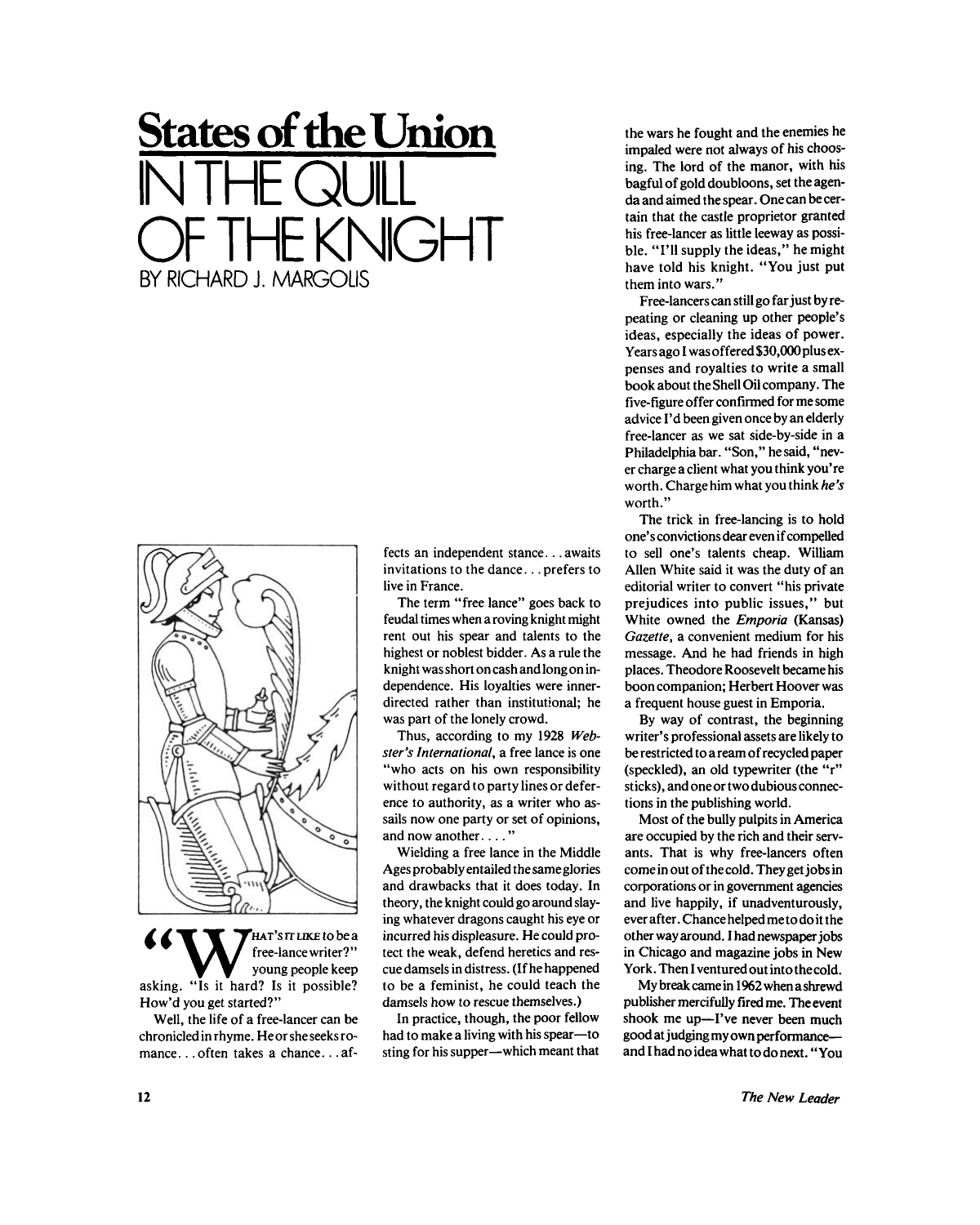## **States of the Union IN THE QUILL**  F THE KNIGHT BY RICHARD J. MARGOLIS



HAT'S IT LIKE to be a free-lance writer?" young people keep asking. "Is it hard? Is it possible? How'd you get started?"

Well, the life of a free-lancer can be chronicled in rhyme. He or she seeks romance...often takes a chance...affects an independent stance...awaits invitations to the dance... prefers to live in France.

The term "free lance" goes back to feudal times when a roving knight might rent out his spear and talents to the highest or noblest bidder. As a rule the knight was short on cash and long on independence. His loyalties were innerdirected rather than institutional; he was part of the lonely crowd.

Thus, according to my 1928 *Webster's International,* a free lance is one "who acts on his own responsibility without regard to party lines or deference to authority, as a writer who assails now one party or set of opinions, and now another...."

Wielding a free lance in the Middle Ages probably entailed thesameglories and drawbacks that it does today. In theory, the knight could go around slaying whatever dragons caught his eye or incurred his displeasure. He could protect the weak, defend heretics and rescue damsels in distress. (If he happened to be a feminist, he could teach the damsels how to rescue themselves.)

In practice, though, the poor fellow had to make a living with his spear—to sting for his supper—which meant that the wars he fought and the enemies he impaled were not always of his choosing. The lord of the manor, with his bagful of gold doubloons, set the agenda and aimed the spear. One can be certain that the castle proprietor granted his free-lancer as little leeway as possible. "I'll supply the ideas," he might have told his knight. "You just put them into wars."

Free-lancers can still go far just by repeating or cleaning up other people's ideas, especially the ideas of power. Years ago I was offered \$30,000plus expenses and royalties to write a small book about the Shell Oil company. The five-figure offer confirmed for me some advice I'd been given once by an elderly free-lancer as we sat side-by-side in a Philadelphia bar. "Son," he said, "never charge a client what you think you're worth. Charge him what you think *he's*  worth."

The trick in free-lancing is to hold one's convictions dear even if compelled to sell one's talents cheap. William Allen White said it was the duty of an editorial writer to convert "his private prejudices into public issues," but White owned the *Emporia* (Kansas) *Gazette,* a convenient medium for his message. And he had friends in high places. Theodore Roosevelt became his boon companion; Herbert Hoover was a frequent house guest in Emporia.

By way of contrast, the beginning writer's professional assets are likely to be restricted to a ream of recycled paper (speckled), an old typewriter (the "r" sticks), and one or two dubious connections in the publishing world.

Most of the bully pulpits in America are occupied by the rich and their servants. That is why free-lancers often come in out of the cold. They get jobs in corporations or in government agencies and live happily, if unadventurously, ever after. Chance helped me to do it the other way around. I had newspaper jobs in Chicago and magazine jobs in New York. Then I ventured out into thecold.

My break came in 1962 when a shrewd publisher mercifully fired me. The event shook me up—I've never been much good at judging my own performance and I had no idea what to do next. "You